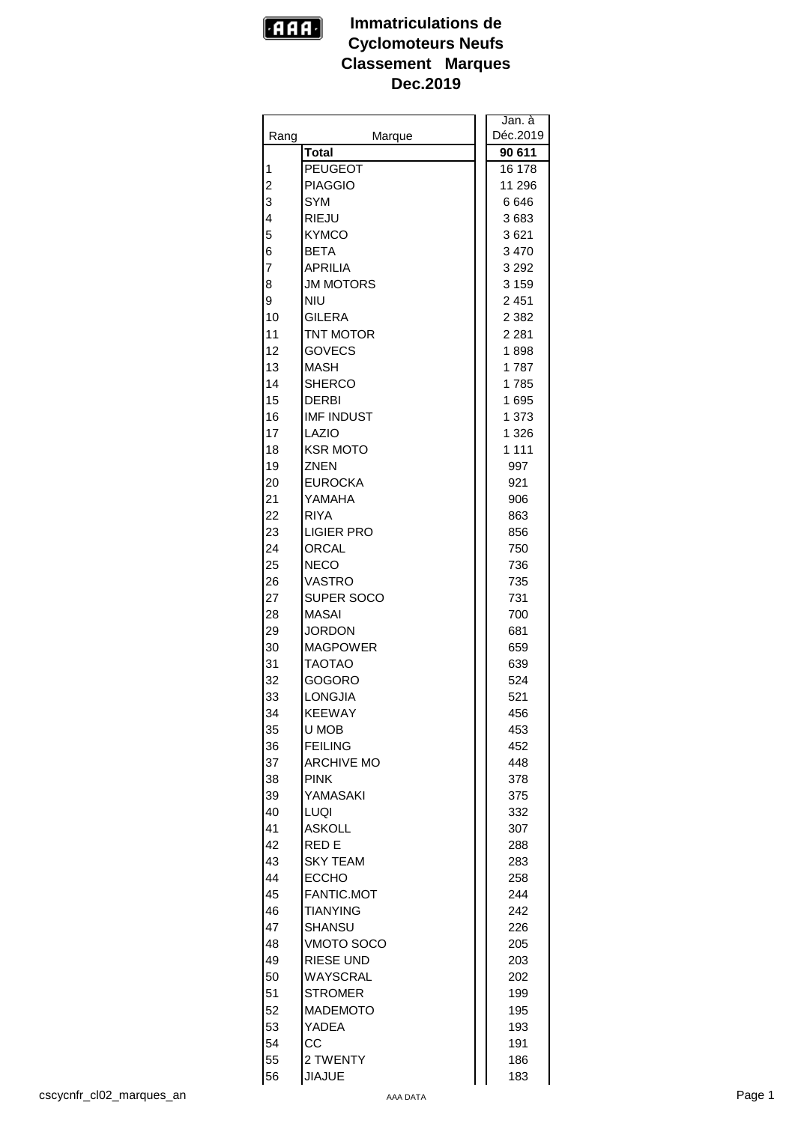

|      |                   | Jan. à   |
|------|-------------------|----------|
| Rang | Marque            | Déc.2019 |
|      | <b>Total</b>      | 90 611   |
| 1    | <b>PEUGEOT</b>    | 16 178   |
| 2    | <b>PIAGGIO</b>    | 11 296   |
| 3    | <b>SYM</b>        | 6 646    |
| 4    | <b>RIEJU</b>      | 3683     |
| 5    | <b>KYMCO</b>      | 3621     |
| 6    | <b>BETA</b>       | 3 4 7 0  |
| 7    | <b>APRILIA</b>    | 3 2 9 2  |
| 8    | <b>JM MOTORS</b>  | 3 1 5 9  |
| 9    | <b>NIU</b>        | 2451     |
| 10   | <b>GILERA</b>     | 2 3 8 2  |
| 11   | TNT MOTOR         | 2 2 8 1  |
| 12   | <b>GOVECS</b>     | 1898     |
| 13   | <b>MASH</b>       | 1787     |
| 14   | <b>SHERCO</b>     |          |
|      |                   | 1785     |
| 15   | DERBI             | 1 695    |
| 16   | <b>IMF INDUST</b> | 1 373    |
| 17   | LAZIO             | 1 3 2 6  |
| 18   | <b>KSR MOTO</b>   | 1 1 1 1  |
| 19   | <b>ZNEN</b>       | 997      |
| 20   | <b>EUROCKA</b>    | 921      |
| 21   | YAMAHA            | 906      |
| 22   | <b>RIYA</b>       | 863      |
| 23   | <b>LIGIER PRO</b> | 856      |
| 24   | ORCAL             | 750      |
| 25   | <b>NECO</b>       | 736      |
| 26   | <b>VASTRO</b>     | 735      |
| 27   | SUPER SOCO        | 731      |
| 28   | <b>MASAI</b>      | 700      |
| 29   | <b>JORDON</b>     | 681      |
| 30   | <b>MAGPOWER</b>   | 659      |
| 31   | <b>TAOTAO</b>     | 639      |
| 32   | <b>GOGORO</b>     | 524      |
| 33   | <b>LONGJIA</b>    | 521      |
| 34   | <b>KEEWAY</b>     | 456      |
| 35   | U MOB             | 453      |
| 36   | <b>FEILING</b>    | 452      |
| 37   | <b>ARCHIVE MO</b> | 448      |
| 38   | <b>PINK</b>       | 378      |
| 39   | YAMASAKI          | 375      |
| 40   | LUQI              | 332      |
| 41   | <b>ASKOLL</b>     | 307      |
| 42   | RED E             | 288      |
| 43   | <b>SKY TEAM</b>   | 283      |
| 44   | <b>ECCHO</b>      | 258      |
| 45   | FANTIC.MOT        | 244      |
| 46   | <b>TIANYING</b>   | 242      |
| 47   | <b>SHANSU</b>     | 226      |
| 48   | VMOTO SOCO        | 205      |
| 49   | RIESE UND         | 203      |
| 50   | WAYSCRAL          | 202      |
| 51   | STROMER           | 199      |
| 52   | <b>MADEMOTO</b>   | 195      |
| 53   | YADEA             | 193      |
| 54   | CC.               | 191      |
| 55   | 2 TWENTY          | 186      |
| 56   | <b>JIAJUE</b>     | 183      |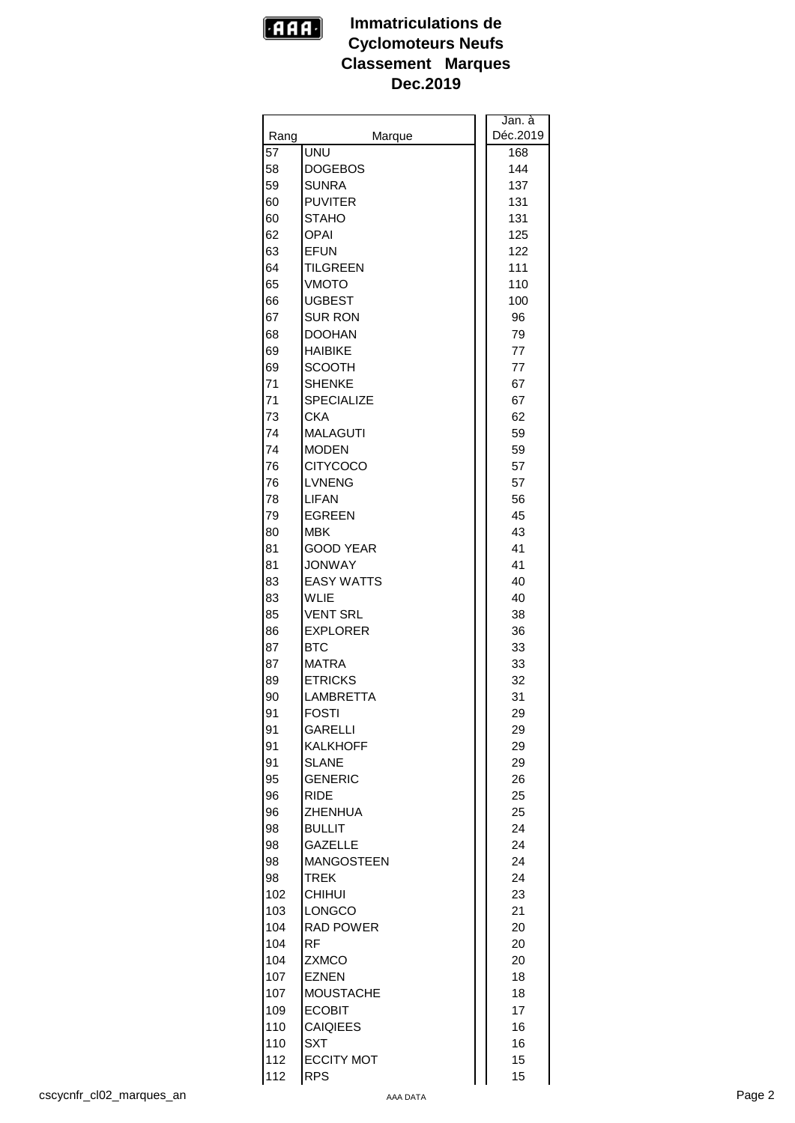

|      |                   | Jan.à    |
|------|-------------------|----------|
| Rang | Marque            | Déc.2019 |
| 57   | UNU               | 168      |
| 58   | <b>DOGEBOS</b>    | 144      |
| 59   | <b>SUNRA</b>      | 137      |
| 60   | <b>PUVITER</b>    | 131      |
| 60   | <b>STAHO</b>      | 131      |
| 62   | <b>OPAI</b>       | 125      |
|      |                   |          |
| 63   | <b>EFUN</b>       | 122      |
| 64   | TILGREEN          | 111      |
| 65   | <b>VMOTO</b>      | 110      |
| 66   | <b>UGBEST</b>     | 100      |
| 67   | <b>SUR RON</b>    | 96       |
| 68   | <b>DOOHAN</b>     | 79       |
| 69   | <b>HAIBIKE</b>    | 77       |
| 69   | <b>SCOOTH</b>     | 77       |
| 71   | <b>SHENKE</b>     | 67       |
| 71   | <b>SPECIALIZE</b> | 67       |
| 73   | <b>CKA</b>        | 62       |
| 74   | <b>MALAGUTI</b>   | 59       |
| 74   | <b>MODEN</b>      | 59       |
| 76   | <b>CITYCOCO</b>   | 57       |
| 76   | <b>LVNENG</b>     | 57       |
| 78   | LIFAN             | 56       |
| 79   | <b>EGREEN</b>     | 45       |
| 80   | MBK               | 43       |
|      |                   |          |
| 81   | <b>GOOD YEAR</b>  | 41       |
| 81   | <b>JONWAY</b>     | 41       |
| 83   | <b>EASY WATTS</b> | 40       |
| 83   | WLIE              | 40       |
| 85   | <b>VENT SRL</b>   | 38       |
| 86   | <b>EXPLORER</b>   | 36       |
| 87   | <b>BTC</b>        | 33       |
| 87   | <b>MATRA</b>      | 33       |
| 89   | <b>ETRICKS</b>    | 32       |
| 90   | LAMBRETTA         | 31       |
| 91   | <b>FOSTI</b>      | 29       |
| 91   | <b>GARELLI</b>    | 29       |
| 91   | <b>KALKHOFF</b>   | 29       |
| 91   | <b>SLANE</b>      | 29       |
| 95   | <b>GENERIC</b>    | 26       |
| 96   | <b>RIDE</b>       | 25       |
| 96   | <b>ZHENHUA</b>    | 25       |
| 98   | <b>BULLIT</b>     | 24       |
| 98   | <b>GAZELLE</b>    | 24       |
| 98   | <b>MANGOSTEEN</b> | 24       |
| 98   | <b>TREK</b>       | 24       |
| 102  | <b>CHIHUI</b>     | 23       |
| 103  | <b>LONGCO</b>     | 21       |
| 104  | <b>RAD POWER</b>  | 20       |
|      |                   |          |
| 104  | RF.               | 20       |
| 104  | <b>ZXMCO</b>      | 20       |
| 107  | EZNEN             | 18       |
| 107  | <b>MOUSTACHE</b>  | 18       |
| 109  | <b>ECOBIT</b>     | 17       |
| 110  | <b>CAIQIEES</b>   | 16       |
| 110  | <b>SXT</b>        | 16       |
| 112  | <b>ECCITY MOT</b> | 15       |
| 112  | <b>RPS</b>        | 15       |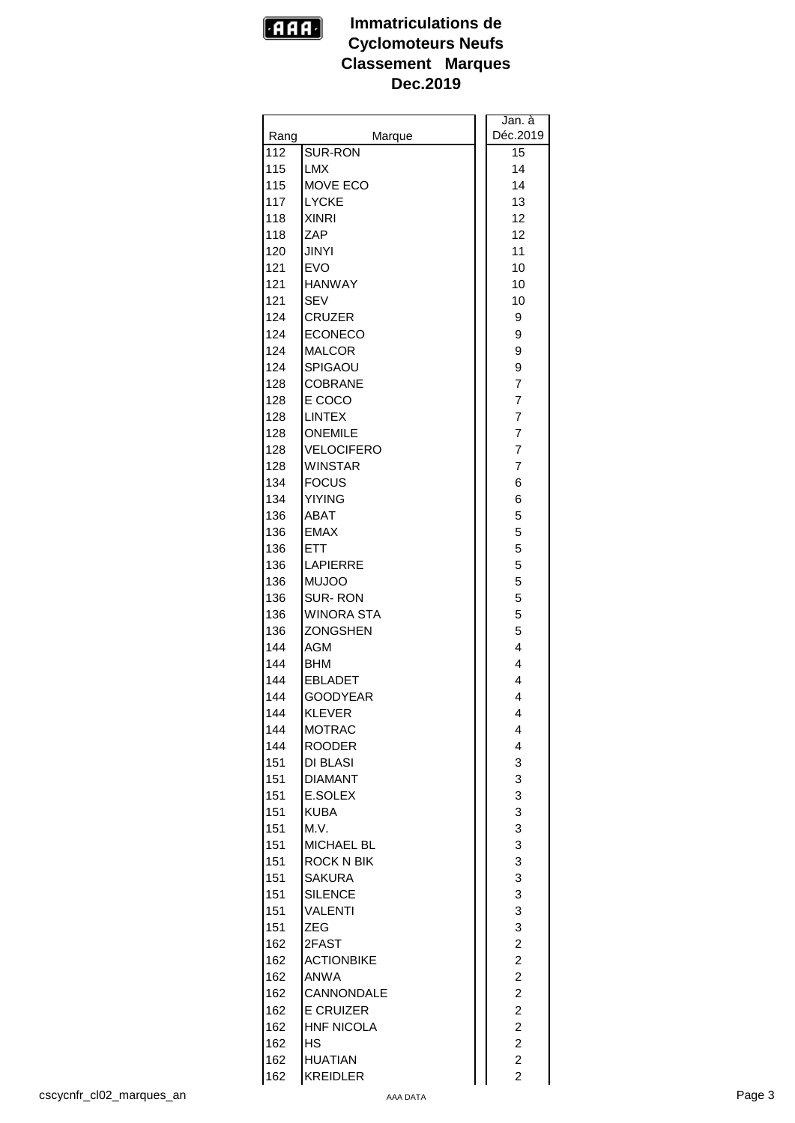

|      |                   | Jan. à                  |
|------|-------------------|-------------------------|
| Rang | Marque            | Déc.2019                |
| 112  | SUR-RON           | 15                      |
| 115  | <b>LMX</b>        | 14                      |
| 115  | MOVE ECO          | 14                      |
| 117  | <b>LYCKE</b>      | 13                      |
| 118  | <b>XINRI</b>      | 12                      |
| 118  | ZAP               | 12                      |
| 120  | <b>JINYI</b>      | 11                      |
| 121  | <b>EVO</b>        | 10                      |
| 121  | <b>HANWAY</b>     | 10                      |
| 121  | <b>SEV</b>        | 10                      |
| 124  | <b>CRUZER</b>     | 9                       |
| 124  | <b>ECONECO</b>    | 9                       |
| 124  | <b>MALCOR</b>     | 9                       |
| 124  | SPIGAOU           | 9                       |
| 128  | <b>COBRANE</b>    | 7                       |
| 128  | E COCO            | $\overline{7}$          |
| 128  | LINTEX            | $\overline{7}$          |
| 128  | <b>ONEMILE</b>    | $\overline{7}$          |
| 128  | <b>VELOCIFERO</b> | $\overline{7}$          |
| 128  | <b>WINSTAR</b>    | $\overline{7}$          |
| 134  | <b>FOCUS</b>      | 6                       |
| 134  | <b>YIYING</b>     | 6                       |
| 136  | ABAT              | 5                       |
| 136  | <b>EMAX</b>       | 5                       |
| 136  | <b>ETT</b>        | 5                       |
| 136  | <b>LAPIERRE</b>   | 5                       |
| 136  | <b>MUJOO</b>      | 5                       |
| 136  | <b>SUR-RON</b>    | 5                       |
| 136  | <b>WINORA STA</b> | 5                       |
| 136  | <b>ZONGSHEN</b>   | 5                       |
| 144  | <b>AGM</b>        | 4                       |
| 144  | <b>BHM</b>        | 4                       |
| 144  | <b>EBLADET</b>    | 4                       |
| 144  | <b>GOODYEAR</b>   | 4                       |
| 144  | KLEVER            | 4                       |
| 144  | <b>MOTRAC</b>     | 4                       |
| 144  | <b>ROODER</b>     | $\overline{\mathbf{4}}$ |
| 151  | DI BLASI          | 3                       |
| 151  | <b>DIAMANT</b>    | 3                       |
| 151  | E.SOLEX           | 3                       |
| 151  | <b>KUBA</b>       | 3                       |
| 151  | M.V.              | 3                       |
| 151  | MICHAEL BL        | 3                       |
| 151  | <b>ROCK N BIK</b> | 3                       |
| 151  | <b>SAKURA</b>     | 3                       |
| 151  | <b>SILENCE</b>    | 3                       |
| 151  | <b>VALENTI</b>    | 3                       |
| 151  | <b>ZEG</b>        | 3                       |
| 162  | 2FAST             | $\overline{c}$          |
| 162  | <b>ACTIONBIKE</b> | $\overline{c}$          |
| 162  | ANWA              | $\overline{c}$          |
| 162  | CANNONDALE        | $\overline{\mathbf{c}}$ |
| 162  | <b>E CRUIZER</b>  | $\overline{\mathbf{c}}$ |
| 162  | <b>HNF NICOLA</b> | $\overline{\mathbf{c}}$ |
| 162  | <b>HS</b>         | $\overline{c}$          |
| 162  | <b>HUATIAN</b>    | $\overline{c}$          |
| 162  | <b>KREIDLER</b>   | $\overline{a}$          |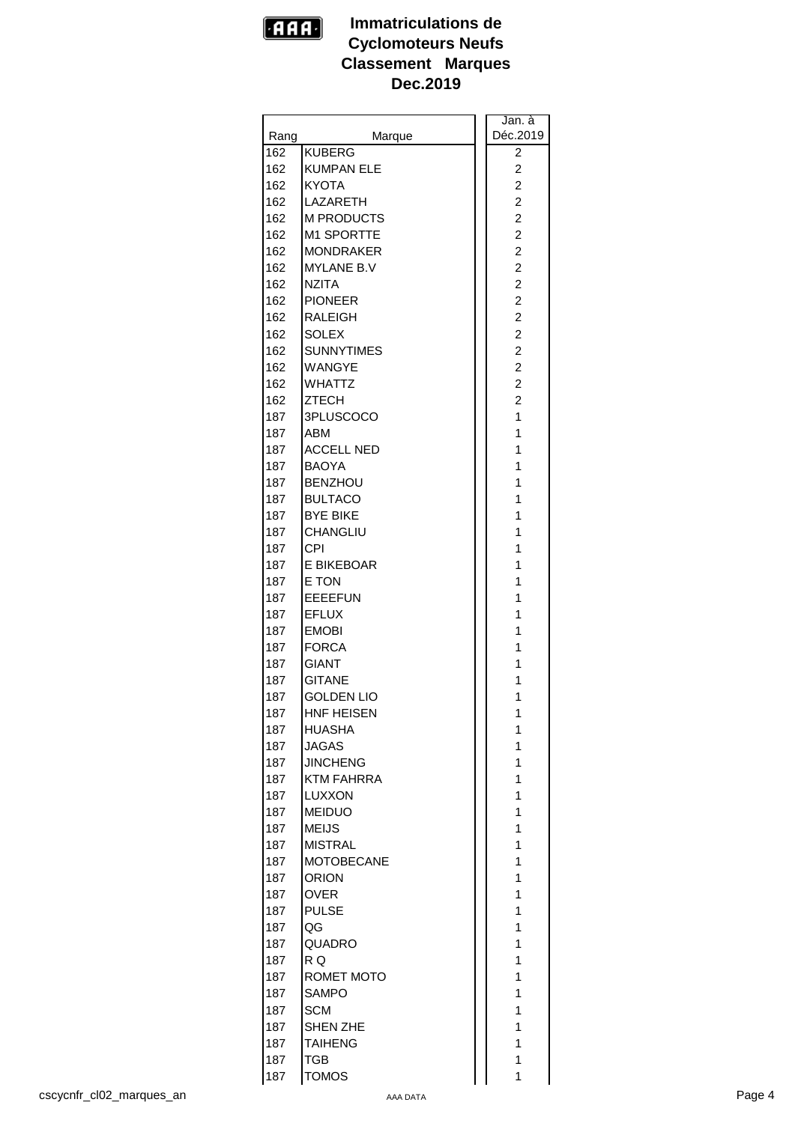

|      |                   | Jan. à                  |  |
|------|-------------------|-------------------------|--|
| Rang | Marque            | Déc.2019                |  |
| 162  | <b>KUBERG</b>     | 2                       |  |
| 162  | <b>KUMPAN ELE</b> | 2                       |  |
| 162  | <b>KYOTA</b>      | $\overline{c}$          |  |
| 162  | LAZARETH          | $\overline{c}$          |  |
| 162  | <b>M PRODUCTS</b> | $\overline{\mathbf{c}}$ |  |
| 162  | <b>M1 SPORTTE</b> | $\overline{c}$          |  |
| 162  | <b>MONDRAKER</b>  | $\overline{c}$          |  |
| 162  | <b>MYLANE B.V</b> | $\overline{c}$          |  |
| 162  | <b>NZITA</b>      | 2                       |  |
| 162  | <b>PIONEER</b>    | $\overline{c}$          |  |
| 162  | <b>RALEIGH</b>    | $\overline{c}$          |  |
| 162  | <b>SOLEX</b>      | $\overline{c}$          |  |
|      |                   |                         |  |
| 162  | <b>SUNNYTIMES</b> | $\overline{\mathbf{c}}$ |  |
| 162  | <b>WANGYE</b>     | $\overline{c}$          |  |
| 162  | <b>WHATTZ</b>     | $\overline{c}$          |  |
| 162  | <b>ZTECH</b>      | $\overline{2}$          |  |
| 187  | 3PLUSCOCO         | 1                       |  |
| 187  | ABM               | 1                       |  |
| 187  | <b>ACCELL NED</b> | 1                       |  |
| 187  | <b>BAOYA</b>      | 1                       |  |
| 187  | <b>BENZHOU</b>    | 1                       |  |
| 187  | <b>BULTACO</b>    | 1                       |  |
| 187  | <b>BYE BIKE</b>   | 1                       |  |
| 187  | <b>CHANGLIU</b>   | 1                       |  |
| 187  | <b>CPI</b>        | 1                       |  |
| 187  | E BIKEBOAR        | 1                       |  |
| 187  | E TON             | 1                       |  |
| 187  | <b>EEEEFUN</b>    | 1                       |  |
| 187  | <b>EFLUX</b>      | 1                       |  |
| 187  | <b>EMOBI</b>      | 1                       |  |
| 187  | <b>FORCA</b>      | 1                       |  |
| 187  | <b>GIANT</b>      | 1                       |  |
| 187  | <b>GITANE</b>     | 1                       |  |
| 187  | <b>GOLDEN LIO</b> | 1                       |  |
| 187  | HNF HEISEN        | 1                       |  |
| 187  | <b>HUASHA</b>     | 1                       |  |
| 187  | JAGAS             | 1                       |  |
| 187  | <b>JINCHENG</b>   | 1                       |  |
| 187  | <b>KTM FAHRRA</b> | 1                       |  |
| 187  | LUXXON            | 1                       |  |
| 187  | <b>MEIDUO</b>     | 1                       |  |
| 187  | <b>MEIJS</b>      | 1                       |  |
| 187  | <b>MISTRAL</b>    | 1                       |  |
| 187  | <b>MOTOBECANE</b> | 1                       |  |
| 187  | <b>ORION</b>      | 1                       |  |
| 187  | <b>OVER</b>       | 1                       |  |
|      |                   | 1                       |  |
| 187  | <b>PULSE</b>      |                         |  |
| 187  | QG                | 1                       |  |
| 187  | QUADRO            | 1                       |  |
| 187  | R Q               | 1                       |  |
| 187  | ROMET MOTO        | 1                       |  |
| 187  | <b>SAMPO</b>      | 1                       |  |
| 187  | <b>SCM</b>        | 1                       |  |
| 187  | <b>SHEN ZHE</b>   | 1                       |  |
| 187  | <b>TAIHENG</b>    | 1                       |  |
| 187  | TGB               | 1                       |  |
| 187  | TOMOS             | 1                       |  |